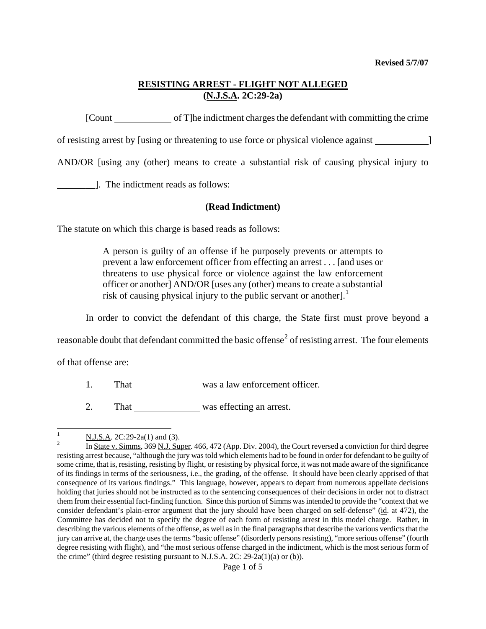# **RESISTING ARREST - FLIGHT NOT ALLEGED (N.J.S.A. 2C:29-2a)**

[Count of T]he indictment charges the defendant with committing the crime

of resisting arrest by [using or threatening to use force or physical violence against ]

AND/OR [using any (other) means to create a substantial risk of causing physical injury to

\_\_\_\_\_\_\_\_]. The indictment reads as follows:

## **(Read Indictment)**

The statute on which this charge is based reads as follows:

A person is guilty of an offense if he purposely prevents or attempts to prevent a law enforcement officer from effecting an arrest . . . [and uses or threatens to use physical force or violence against the law enforcement officer or another] AND/OR [uses any (other) means to create a substantial risk of causing physical injury to the public servant or another].<sup>[1](#page-0-0)</sup>

In order to convict the defendant of this charge, the State first must prove beyond a

reasonable doubt that defendant committed the basic offense<sup>[2](#page-0-1)</sup> of resisting arrest. The four elements

of that offense are:

- 1. That was a law enforcement officer.
- 2. That was effecting an arrest.

<span id="page-0-0"></span> $\frac{1}{1}$  $\frac{N \text{ J.S.A. 2C:29-2a(1) and (3)}}{N \text{ J.s. A. 2C:29-2a(1) and (3)}}$ 

<span id="page-0-2"></span><span id="page-0-1"></span>In State v. Simms, 369 N.J. Super. 466, 472 (App. Div. 2004), the Court reversed a conviction for third degree resisting arrest because, "although the jury was told which elements had to be found in order for defendant to be guilty of some crime, that is, resisting, resisting by flight, or resisting by physical force, it was not made aware of the significance of its findings in terms of the seriousness, i.e., the grading, of the offense. It should have been clearly apprised of that consequence of its various findings." This language, however, appears to depart from numerous appellate decisions holding that juries should not be instructed as to the sentencing consequences of their decisions in order not to distract them from their essential fact-finding function. Since this portion of Simms was intended to provide the "context that we consider defendant's plain-error argument that the jury should have been charged on self-defense" (id. at 472), the Committee has decided not to specify the degree of each form of resisting arrest in this model charge. Rather, in describing the various elements of the offense, as well as in the final paragraphs that describe the various verdicts that the jury can arrive at, the charge uses the terms "basic offense" (disorderly persons resisting), "more serious offense" (fourth degree resisting with flight), and "the most serious offense charged in the indictment, which is the most serious form of the crime" (third degree resisting pursuant to  $N.J.S.A.$  2C: 29-2a(1)(a) or (b)).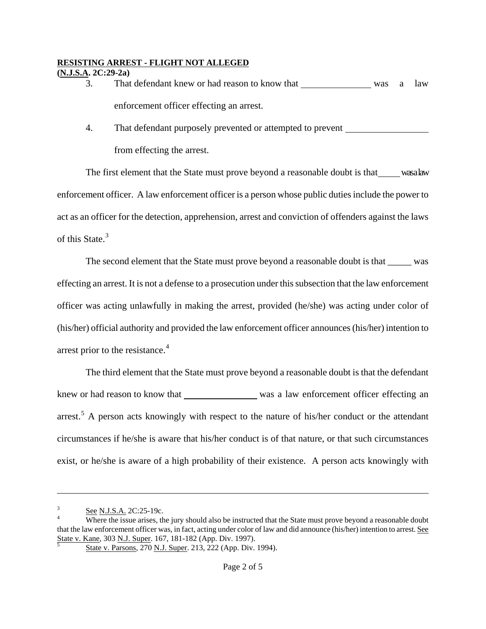#### **RESISTING ARREST - FLIGHT NOT ALLEGED (N.J.S.A. 2C:29-2a)**

- 3. That defendant knew or had reason to know that was a law enforcement officer effecting an arrest.
- 4. That defendant purposely prevented or attempted to prevent from effecting the arrest.

The first element that the State must prove beyond a reasonable doubt is that\_\_\_\_wasalaw enforcement officer. A law enforcement officer is a person whose public duties include the power to act as an officer for the detection, apprehension, arrest and conviction of offenders against the laws of this State.<sup>[3](#page-0-2)</sup>

The second element that the State must prove beyond a reasonable doubt is that \_\_\_\_\_ was effecting an arrest. It is not a defense to a prosecution under this subsection that the law enforcement officer was acting unlawfully in making the arrest, provided (he/she) was acting under color of (his/her) official authority and provided the law enforcement officer announces (his/her) intention to arrest prior to the resistance.<sup>[4](#page-1-0)</sup>

The third element that the State must prove beyond a reasonable doubt is that the defendant knew or had reason to know that was a law enforcement officer effecting an arrest.<sup>[5](#page-1-1)</sup> A person acts knowingly with respect to the nature of his/her conduct or the attendant circumstances if he/she is aware that his/her conduct is of that nature, or that such circumstances exist, or he/she is aware of a high probability of their existence. A person acts knowingly with

 $\overline{a}$ 

<sup>3</sup> See N.J.S.A. 2C:25-19c.

<span id="page-1-2"></span><span id="page-1-1"></span><span id="page-1-0"></span>Where the issue arises, the jury should also be instructed that the State must prove beyond a reasonable doubt that the law enforcement officer was, in fact, acting under color of law and did announce (his/her) intention to arrest. See State v. Kane, 303 N.J. Super. 167, 181-182 (App. Div. 1997).

State v. Parsons, 270 N.J. Super. 213, 222 (App. Div. 1994).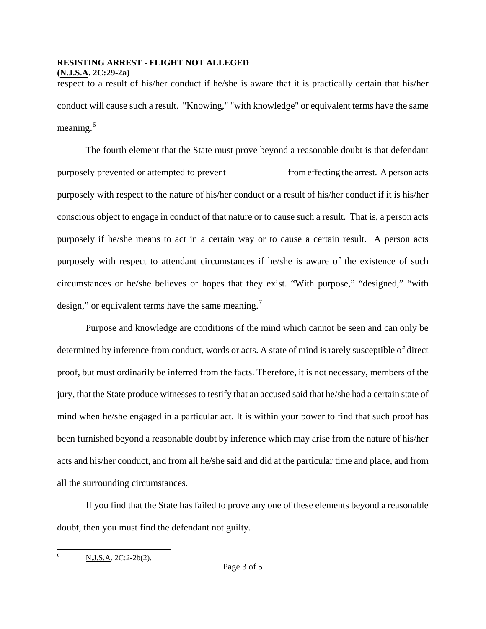## **RESISTING ARREST - FLIGHT NOT ALLEGED**

**(N.J.S.A. 2C:29-2a)** 

respect to a result of his/her conduct if he/she is aware that it is practically certain that his/her conduct will cause such a result. "Knowing," "with knowledge" or equivalent terms have the same meaning. $6$ 

The fourth element that the State must prove beyond a reasonable doubt is that defendant purposely prevented or attempted to prevent \_\_\_\_\_\_\_\_\_\_\_\_\_\_ from effecting the arrest. A person acts purposely with respect to the nature of his/her conduct or a result of his/her conduct if it is his/her conscious object to engage in conduct of that nature or to cause such a result. That is, a person acts purposely if he/she means to act in a certain way or to cause a certain result. A person acts purposely with respect to attendant circumstances if he/she is aware of the existence of such circumstances or he/she believes or hopes that they exist. "With purpose," "designed," "with design," or equivalent terms have the same meaning. $<sup>7</sup>$  $<sup>7</sup>$  $<sup>7</sup>$ </sup>

Purpose and knowledge are conditions of the mind which cannot be seen and can only be determined by inference from conduct, words or acts. A state of mind is rarely susceptible of direct proof, but must ordinarily be inferred from the facts. Therefore, it is not necessary, members of the jury, that the State produce witnesses to testify that an accused said that he/she had a certain state of mind when he/she engaged in a particular act. It is within your power to find that such proof has been furnished beyond a reasonable doubt by inference which may arise from the nature of his/her acts and his/her conduct, and from all he/she said and did at the particular time and place, and from all the surrounding circumstances.

<span id="page-2-1"></span><span id="page-2-0"></span>If you find that the State has failed to prove any one of these elements beyond a reasonable doubt, then you must find the defendant not guilty.

 6 N.J.S.A. 2C:2-2b(2).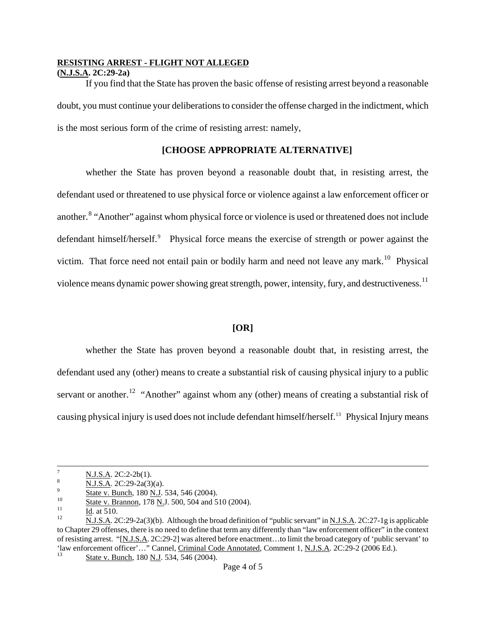#### **RESISTING ARREST - FLIGHT NOT ALLEGED**

#### **(N.J.S.A. 2C:29-2a)**

If you find that the State has proven the basic offense of resisting arrest beyond a reasonable doubt, you must continue your deliberations to consider the offense charged in the indictment, which is the most serious form of the crime of resisting arrest: namely,

## **[CHOOSE APPROPRIATE ALTERNATIVE]**

whether the State has proven beyond a reasonable doubt that, in resisting arrest, the defendant used or threatened to use physical force or violence against a law enforcement officer or another.<sup>[8](#page-2-1)</sup> "Another" against whom physical force or violence is used or threatened does not include defendant himself/herself.<sup>[9](#page-3-0)</sup> Physical force means the exercise of strength or power against the victim. That force need not entail pain or bodily harm and need not leave any mark.<sup>[10](#page-3-1)</sup> Physical violence means dynamic power showing great strength, power, intensity, fury, and destructiveness.<sup>[11](#page-3-2)</sup>

#### **[OR]**

whether the State has proven beyond a reasonable doubt that, in resisting arrest, the defendant used any (other) means to create a substantial risk of causing physical injury to a public servant or another.<sup>[12](#page-3-3)</sup> "Another" against whom any (other) means of creating a substantial risk of causing physical injury is used does not include defendant himself/herself.[13](#page-3-4) Physical Injury means

<sup>-&</sup>lt;br>7  $\frac{N.J.S.A. 2C:2-2b(1)}{N.J.S.A. 2C:29-2a(3)(a)}$ .

<span id="page-3-5"></span><span id="page-3-3"></span><span id="page-3-2"></span>

<span id="page-3-1"></span><span id="page-3-0"></span><sup>&</sup>lt;sup>9</sup><br>
State v. Bunch, 180 <u>N.J</u>. 534, 546 (2004).<br>
<sup>10</sup><br>
<u>Id</u>. at 510.<br>
<u>N.J.S.A</u>. 2C:29-2a(3)(b). Although the broad definition of "public servant" in <u>N.J.S.A</u>. 2C:27-1g is applicable to Chapter 29 offenses, there is no need to define that term any differently than "law enforcement officer" in the context of resisting arrest. "[N.J.S.A. 2C:29-2] was altered before enactment…to limit the broad category of 'public servant' to 'law enforcement officer'…" Cannel, Criminal Code Annotated, Comment 1, N.J.S.A. 2C:29-2 (2006 Ed.). 13 State v. Bunch, 180 N.J. 534, 546 (2004).

<span id="page-3-4"></span>